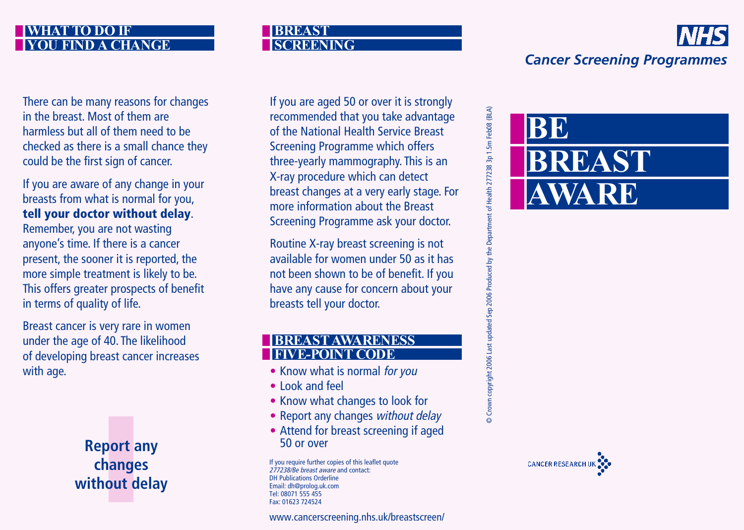### **WHAT TO DO IF YHANGE**

There can be many reasons for changes in the breast. Most of them are harmless but all of them need to be checked as there is a small chance they could be the first sign of cancer.

If you are aware of any change in your breasts from what is normal for you, **tell your doctor without delay**.

Remember, you are not wasting anyone's time. If there is a cancer present, the sooner it is reported, the more simple treatment is likely to be. This offers greater prospects of benefit in terms of quality of life.

Breast cancer is very rare in women under the age of 40. The likelihood of developing breast cancer increases with age.



#### **BREAST SREENING**

If you are aged 50 or over it is strongly recommended that you take advantage of the National Health Service Breast Screening Programme which offers three-yearly mammography. This is an X-ray procedure which can detect breast changes at a very early stage. For more information about the Breast Screening Programme ask your doctor.

Routine X-ray breast screening is not available for women under 50 as it has not been shown to be of benefit. If you have any cause for concern about your breasts tell your doctor.

### **NESS FIVE-POINT CODE**

- Know what is normal for you
- Look and feel
- Know what changes to look for
- Report any changes without delay
- Attend for breast screening if aged 50 or over

If you require further copies of this leaflet quote 277238/Be breast aware and contact: DH Publications Orderline Email: [dh@prolog.uk.com](mailto:dh@prolog.uk.com) Tel: 08071 555 455 Fax: 01623 724524

[www.cancerscreening.nhs.uk/breastscreen/](http://www.cancerscreening.nhs.uk/breastscreen/)





**BB** 

**BREAST**

**AWARE**



# *Cancer Screening Programmes*